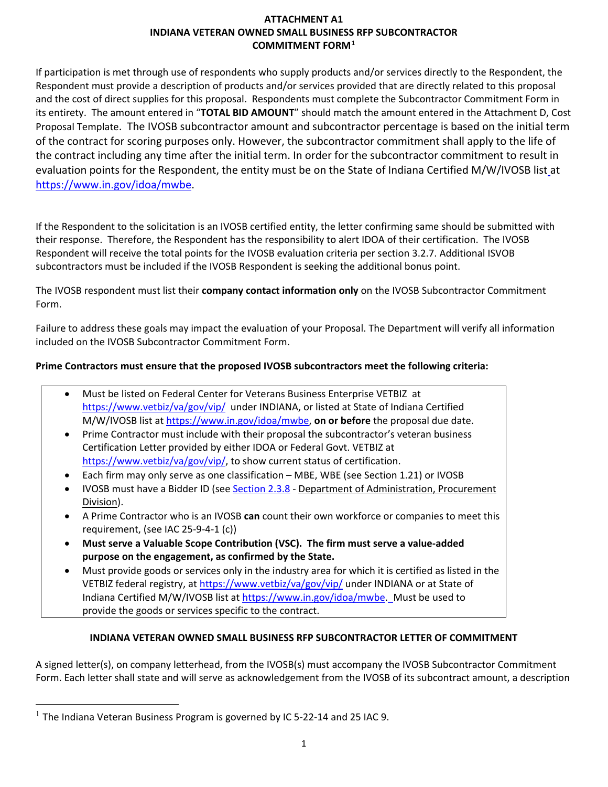## **ATTACHMENT A1 INDIANA VETERAN OWNED SMALL BUSINESS RFP SUBCONTRACTOR COMMITMENT FORM[1](#page-0-0)**

If participation is met through use of respondents who supply products and/or services directly to the Respondent, the Respondent must provide a description of products and/or services provided that are directly related to this proposal and the cost of direct supplies for this proposal. Respondents must complete the Subcontractor Commitment Form in its entirety. The amount entered in "**TOTAL BID AMOUNT**" should match the amount entered in the Attachment D, Cost Proposal Template. The IVOSB subcontractor amount and subcontractor percentage is based on the initial term of the contract for scoring purposes only. However, the subcontractor commitment shall apply to the life of the contract including any time after the initial term. In order for the subcontractor commitment to result in evaluation points for the Respondent, the entity must be on the State of Indiana Certified M/W/IVOSB list at [https://www.in.gov/idoa/mwbe.](https://www.in.gov/idoa/mwbe)

If the Respondent to the solicitation is an IVOSB certified entity, the letter confirming same should be submitted with their response. Therefore, the Respondent has the responsibility to alert IDOA of their certification. The IVOSB Respondent will receive the total points for the IVOSB evaluation criteria per section 3.2.7. Additional ISVOB subcontractors must be included if the IVOSB Respondent is seeking the additional bonus point.

The IVOSB respondent must list their **company contact information only** on the IVOSB Subcontractor Commitment Form.

Failure to address these goals may impact the evaluation of your Proposal. The Department will verify all information included on the IVOSB Subcontractor Commitment Form.

## **Prime Contractors must ensure that the proposed IVOSB subcontractors meet the following criteria:**

|           | Must be listed on Federal Center for Veterans Business Enterprise VETBIZ at                |
|-----------|--------------------------------------------------------------------------------------------|
|           | https://www.vetbiz/va/gov/vip/ under INDIANA, or listed at State of Indiana Certified      |
|           | M/W/IVOSB list at https://www.in.gov/idoa/mwbe, on or before the proposal due date.        |
| $\bullet$ | Prime Contractor must include with their proposal the subcontractor's veteran business     |
|           | Certification Letter provided by either IDOA or Federal Govt. VETBIZ at                    |
|           | https://www.vetbiz/va/gov/vip/, to show current status of certification.                   |
|           | Each firm may only serve as one classification - MBE, WBE (see Section 1.21) or IVOSB      |
|           | IVOSB must have a Bidder ID (see Section 2.3.8 - Department of Administration, Procurement |
|           | Division).                                                                                 |
|           |                                                                                            |

- A Prime Contractor who is an IVOSB **can** count their own workforce or companies to meet this requirement, (see IAC 25-9-4-1 (c))
- **Must serve a Valuable Scope Contribution (VSC). The firm must serve a value-added purpose on the engagement, as confirmed by the State.**
- Must provide goods or services only in the industry area for which it is certified as listed in the VETBIZ federal registry, at<https://www.vetbiz/va/gov/vip/> under INDIANA or at State of Indiana Certified M/W/IVOSB list at [https://www.in.gov/idoa/mwbe.](https://www.in.gov/idoa/mwbe) Must be used to provide the goods or services specific to the contract.

# **INDIANA VETERAN OWNED SMALL BUSINESS RFP SUBCONTRACTOR LETTER OF COMMITMENT**

A signed letter(s), on company letterhead, from the IVOSB(s) must accompany the IVOSB Subcontractor Commitment Form. Each letter shall state and will serve as acknowledgement from the IVOSB of its subcontract amount, a description

<span id="page-0-0"></span> $<sup>1</sup>$  The Indiana Veteran Business Program is governed by IC 5-22-14 and 25 IAC 9.</sup>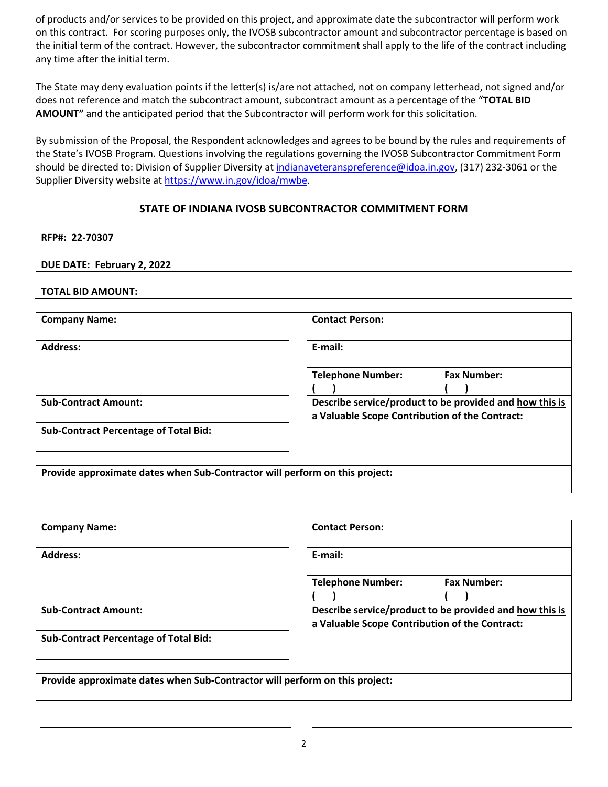of products and/or services to be provided on this project, and approximate date the subcontractor will perform work on this contract. For scoring purposes only, the IVOSB subcontractor amount and subcontractor percentage is based on the initial term of the contract. However, the subcontractor commitment shall apply to the life of the contract including any time after the initial term.

The State may deny evaluation points if the letter(s) is/are not attached, not on company letterhead, not signed and/or does not reference and match the subcontract amount, subcontract amount as a percentage of the "**TOTAL BID AMOUNT"** and the anticipated period that the Subcontractor will perform work for this solicitation.

By submission of the Proposal, the Respondent acknowledges and agrees to be bound by the rules and requirements of the State's IVOSB Program. Questions involving the regulations governing the IVOSB Subcontractor Commitment Form should be directed to: Division of Supplier Diversity at [indianaveteranspreference@idoa.in.gov,](mailto:indianaveteranspreference@idoa.in.gov) (317) 232-3061 or the Supplier Diversity website at [https://www.in.gov/idoa/mwbe.](https://www.in.gov/idoa/mwbe)

## **STATE OF INDIANA IVOSB SUBCONTRACTOR COMMITMENT FORM**

#### **RFP#: 22-70307**

#### **DUE DATE: February 2, 2022**

#### **TOTAL BID AMOUNT:**

| <b>Company Name:</b>                                                        | <b>Contact Person:</b>                                                                                    |  |  |
|-----------------------------------------------------------------------------|-----------------------------------------------------------------------------------------------------------|--|--|
| <b>Address:</b>                                                             | E-mail:                                                                                                   |  |  |
|                                                                             | <b>Fax Number:</b><br><b>Telephone Number:</b>                                                            |  |  |
| <b>Sub-Contract Amount:</b>                                                 | Describe service/product to be provided and how this is<br>a Valuable Scope Contribution of the Contract: |  |  |
| <b>Sub-Contract Percentage of Total Bid:</b>                                |                                                                                                           |  |  |
|                                                                             |                                                                                                           |  |  |
| Provide approximate dates when Sub-Contractor will perform on this project: |                                                                                                           |  |  |

| E-mail:                                                                                                   |                    |  |
|-----------------------------------------------------------------------------------------------------------|--------------------|--|
| <b>Telephone Number:</b>                                                                                  | <b>Fax Number:</b> |  |
| Describe service/product to be provided and how this is<br>a Valuable Scope Contribution of the Contract: |                    |  |
|                                                                                                           |                    |  |
| Provide approximate dates when Sub-Contractor will perform on this project:                               |                    |  |
|                                                                                                           |                    |  |